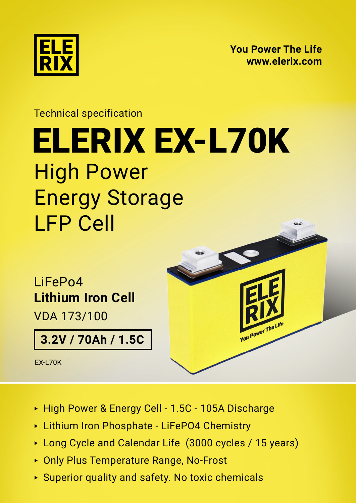

**[You Power The Life](https://elerix.com) [www.elerix.com](https://elerix.com)**

You Power The Life

## Technical specification High Power Energy Storage LFP Cell [ELERIX EX-L70K](https://shop.gwl.eu/_d7883.html)

LiFePo4 **Lithium Iron Cell** VDA 173/100

**3.2V / 70Ah / 1.5C**

EX-L70K



- ► Lithium Iron Phosphate LiFePO4 Chemistry
- ► Long Cycle and Calendar Life (3000 cycles / 15 years)
- ► Only Plus Temperature Range, No-Frost
- ► Superior quality and safety. No toxic chemicals